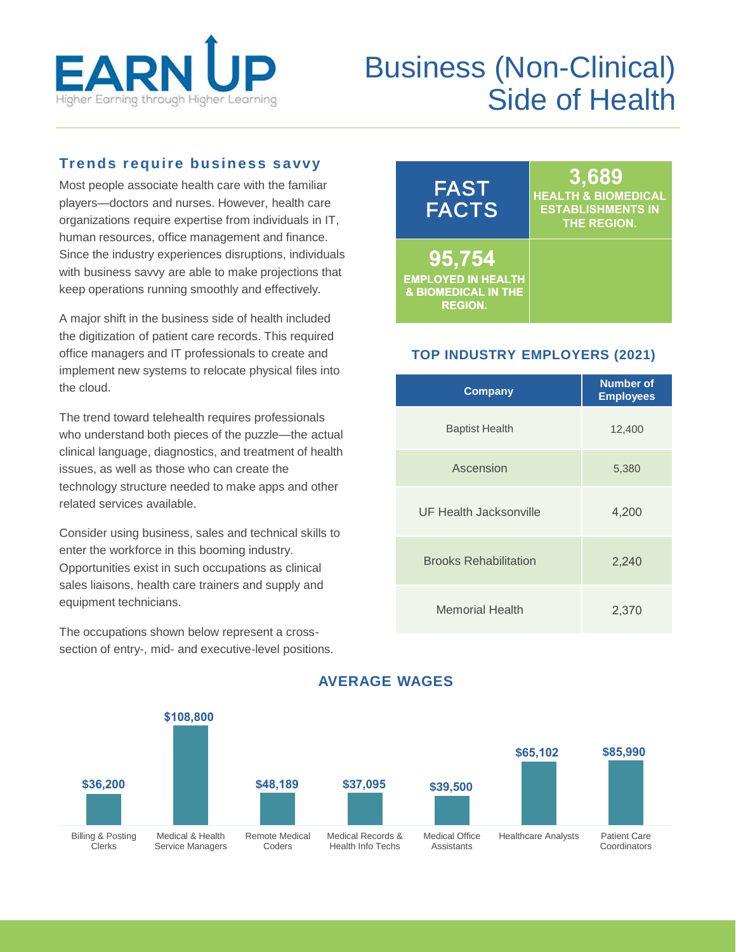

# Business (Non-Clinical) Side of Health

## **Trends require business savvy**

Most people associate health care with the familiar players—doctors and nurses. However, health care organizations require expertise from individuals in IT, human resources, office management and finance. Since the industry experiences disruptions, individuals with business savvy are able to make projections that keep operations running smoothly and effectively.

A major shift in the business side of health included the digitization of patient care records. This required office managers and IT professionals to create and implement new systems to relocate physical files into the cloud.

The trend toward telehealth requires professionals who understand both pieces of the puzzle—the actual clinical language, diagnostics, and treatment of health issues, as well as those who can create the technology structure needed to make apps and other related services available.

Consider using business, sales and technical skills to enter the workforce in this booming industry. Opportunities exist in such occupations as clinical sales liaisons, health care trainers and supply and equipment technicians.

The occupations shown below represent a crosssection of entry-, mid- and executive-level positions.

| <b>FAST</b><br><b>FACTS</b>    | 3,689<br><b>HEALTH &amp; BIOMEDICAL</b><br><b>ESTABLISHMENTS IN</b><br><b>THE REGION.</b> |
|--------------------------------|-------------------------------------------------------------------------------------------|
| 95,754                         | <b>OME HEALTH</b>                                                                         |
| <b>EMPLOYED IN HEALTH</b>      | <b>OCC PATION OR</b>                                                                      |
| <b>&amp; BIOMEDICAL IN THE</b> | <b>ALONG IDE</b>                                                                          |
| <b>REGION.</b>                 | <b>AI TECHNOLOGY</b>                                                                      |

### **TOP INDUSTRY EMPLOYERS (2021)**

| Company                      | <b>Number of</b><br><b>Employees</b> |
|------------------------------|--------------------------------------|
| <b>Baptist Health</b>        | 12,400                               |
| Ascension                    | 5,380                                |
| UF Health Jacksonville       | 4,200                                |
| <b>Brooks Rehabilitation</b> | 2,240                                |
| <b>Memorial Health</b>       | 2,370                                |



# **AVERAGE WAGES**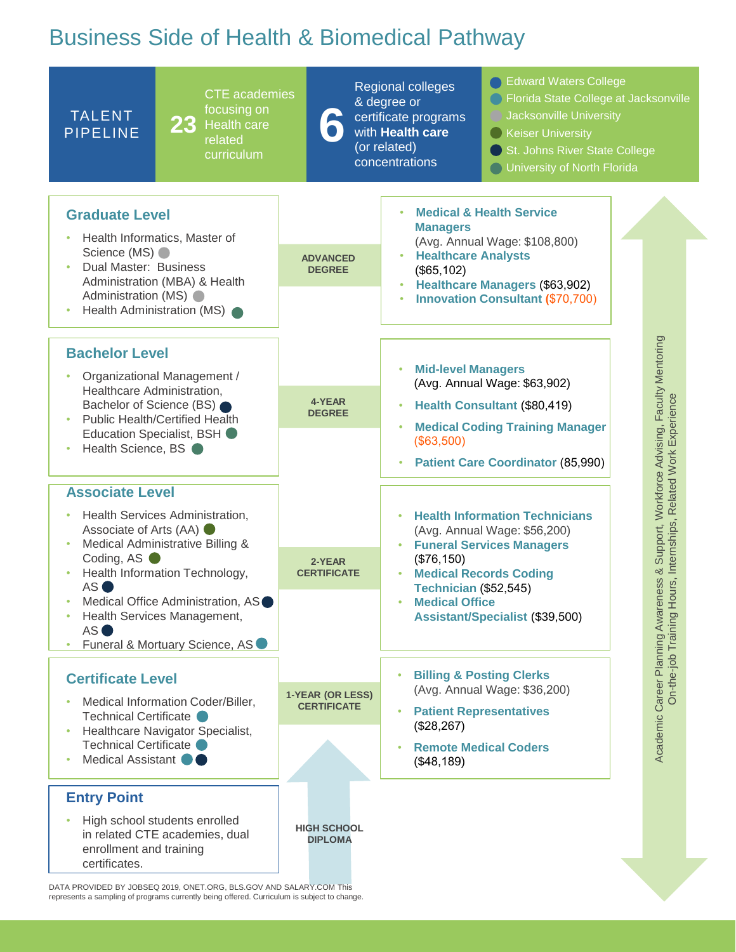# Business Side of Health & Biomedical Pathway